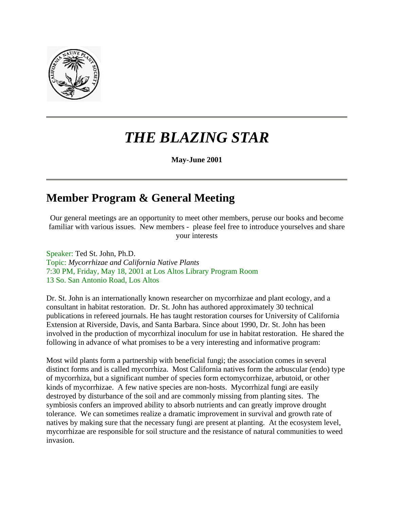

# *THE BLAZING STAR*

**May-June 2001** 

### **Member Program & General Meeting**

Our general meetings are an opportunity to meet other members, peruse our books and become familiar with various issues. New members - please feel free to introduce yourselves and share your interests

Speaker: Ted St. John, Ph.D. Topic: *Mycorrhizae and California Native Plants* 7:30 PM, Friday, May 18, 2001 at Los Altos Library Program Room 13 So. San Antonio Road, Los Altos

Dr. St. John is an internationally known researcher on mycorrhizae and plant ecology, and a consultant in habitat restoration. Dr. St. John has authored approximately 30 technical publications in refereed journals. He has taught restoration courses for University of California Extension at Riverside, Davis, and Santa Barbara. Since about 1990, Dr. St. John has been involved in the production of mycorrhizal inoculum for use in habitat restoration. He shared the following in advance of what promises to be a very interesting and informative program:

Most wild plants form a partnership with beneficial fungi; the association comes in several distinct forms and is called mycorrhiza. Most California natives form the arbuscular (endo) type of mycorrhiza, but a significant number of species form ectomycorrhizae, arbutoid, or other kinds of mycorrhizae. A few native species are non-hosts. Mycorrhizal fungi are easily destroyed by disturbance of the soil and are commonly missing from planting sites. The symbiosis confers an improved ability to absorb nutrients and can greatly improve drought tolerance. We can sometimes realize a dramatic improvement in survival and growth rate of natives by making sure that the necessary fungi are present at planting. At the ecosystem level, mycorrhizae are responsible for soil structure and the resistance of natural communities to weed invasion.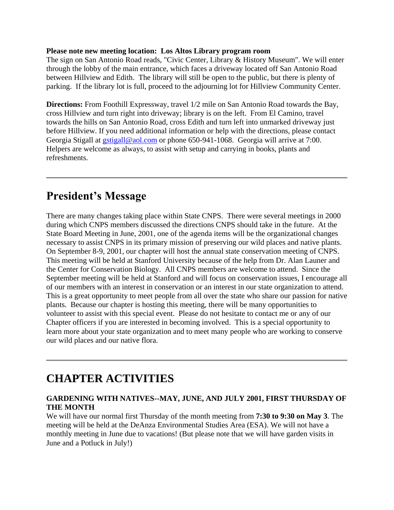#### **Please note new meeting location: Los Altos Library program room**

The sign on San Antonio Road reads, "Civic Center, Library & History Museum". We will enter through the lobby of the main entrance, which faces a driveway located off San Antonio Road between Hillview and Edith. The library will still be open to the public, but there is plenty of parking. If the library lot is full, proceed to the adjourning lot for Hillview Community Center.

**Directions:** From Foothill Expressway, travel 1/2 mile on San Antonio Road towards the Bay, cross Hillview and turn right into driveway; library is on the left. From El Camino, travel towards the hills on San Antonio Road, cross Edith and turn left into unmarked driveway just before Hillview. If you need additional information or help with the directions, please contact Georgia Stigall at *gstigall@aol.com* or phone 650-941-1068. Georgia will arrive at 7:00. Helpers are welcome as always, to assist with setup and carrying in books, plants and refreshments.

### **President's Message**

There are many changes taking place within State CNPS. There were several meetings in 2000 during which CNPS members discussed the directions CNPS should take in the future. At the State Board Meeting in June, 2001, one of the agenda items will be the organizational changes necessary to assist CNPS in its primary mission of preserving our wild places and native plants. On September 8-9, 2001, our chapter will host the annual state conservation meeting of CNPS. This meeting will be held at Stanford University because of the help from Dr. Alan Launer and the Center for Conservation Biology. All CNPS members are welcome to attend. Since the September meeting will be held at Stanford and will focus on conservation issues, I encourage all of our members with an interest in conservation or an interest in our state organization to attend. This is a great opportunity to meet people from all over the state who share our passion for native plants. Because our chapter is hosting this meeting, there will be many opportunities to volunteer to assist with this special event. Please do not hesitate to contact me or any of our Chapter officers if you are interested in becoming involved. This is a special opportunity to learn more about your state organization and to meet many people who are working to conserve our wild places and our native flora.

# **CHAPTER ACTIVITIES**

#### **GARDENING WITH NATIVES--MAY, JUNE, AND JULY 2001, FIRST THURSDAY OF THE MONTH**

We will have our normal first Thursday of the month meeting from **7:30 to 9:30 on May 3**. The meeting will be held at the DeAnza Environmental Studies Area (ESA). We will not have a monthly meeting in June due to vacations! (But please note that we will have garden visits in June and a Potluck in July!)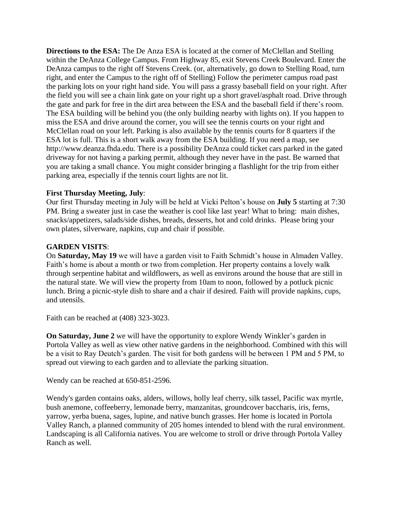**Directions to the ESA:** The De Anza ESA is located at the corner of McClellan and Stelling within the DeAnza College Campus. From Highway 85, exit Stevens Creek Boulevard. Enter the DeAnza campus to the right off Stevens Creek. (or, alternatively, go down to Stelling Road, turn right, and enter the Campus to the right off of Stelling) Follow the perimeter campus road past the parking lots on your right hand side. You will pass a grassy baseball field on your right. After the field you will see a chain link gate on your right up a short gravel/asphalt road. Drive through the gate and park for free in the dirt area between the ESA and the baseball field if there's room. The ESA building will be behind you (the only building nearby with lights on). If you happen to miss the ESA and drive around the corner, you will see the tennis courts on your right and McClellan road on your left. Parking is also available by the tennis courts for 8 quarters if the ESA lot is full. This is a short walk away from the ESA building. If you need a map, see http://www.deanza.fhda.edu. There is a possibility DeAnza could ticket cars parked in the gated driveway for not having a parking permit, although they never have in the past. Be warned that you are taking a small chance. You might consider bringing a flashlight for the trip from either parking area, especially if the tennis court lights are not lit.

#### **First Thursday Meeting, July**:

Our first Thursday meeting in July will be held at Vicki Pelton's house on **July 5** starting at 7:30 PM. Bring a sweater just in case the weather is cool like last year! What to bring: main dishes, snacks/appetizers, salads/side dishes, breads, desserts, hot and cold drinks. Please bring your own plates, silverware, napkins, cup and chair if possible.

#### **GARDEN VISITS**:

On **Saturday, May 19** we will have a garden visit to Faith Schmidt's house in Almaden Valley. Faith's home is about a month or two from completion. Her property contains a lovely walk through serpentine habitat and wildflowers, as well as environs around the house that are still in the natural state. We will view the property from 10am to noon, followed by a potluck picnic lunch. Bring a picnic-style dish to share and a chair if desired. Faith will provide napkins, cups, and utensils.

Faith can be reached at (408) 323-3023.

**On Saturday, June 2** we will have the opportunity to explore Wendy Winkler's garden in Portola Valley as well as view other native gardens in the neighborhood. Combined with this will be a visit to Ray Deutch's garden. The visit for both gardens will be between 1 PM and 5 PM, to spread out viewing to each garden and to alleviate the parking situation.

Wendy can be reached at 650-851-2596.

Wendy's garden contains oaks, alders, willows, holly leaf cherry, silk tassel, Pacific wax myrtle, bush anemone, coffeeberry, lemonade berry, manzanitas, groundcover baccharis, iris, ferns, yarrow, yerba buena, sages, lupine, and native bunch grasses. Her home is located in Portola Valley Ranch, a planned community of 205 homes intended to blend with the rural environment. Landscaping is all California natives. You are welcome to stroll or drive through Portola Valley Ranch as well.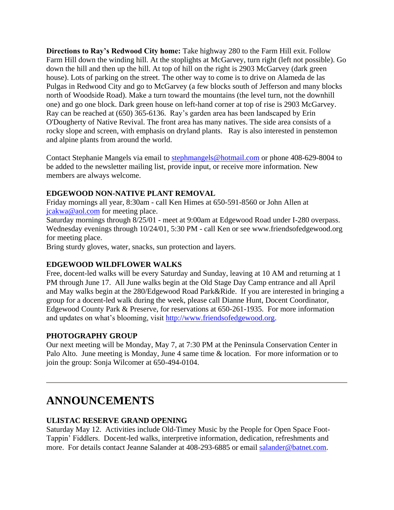**Directions to Ray's Redwood City home:** Take highway 280 to the Farm Hill exit. Follow Farm Hill down the winding hill. At the stoplights at McGarvey, turn right (left not possible). Go down the hill and then up the hill. At top of hill on the right is 2903 McGarvey (dark green house). Lots of parking on the street. The other way to come is to drive on Alameda de las Pulgas in Redwood City and go to McGarvey (a few blocks south of Jefferson and many blocks north of Woodside Road). Make a turn toward the mountains (the level turn, not the downhill one) and go one block. Dark green house on left-hand corner at top of rise is 2903 McGarvey. Ray can be reached at (650) 365-6136. Ray's garden area has been landscaped by Erin O'Dougherty of Native Revival. The front area has many natives. The side area consists of a rocky slope and screen, with emphasis on dryland plants. Ray is also interested in penstemon and alpine plants from around the world.

Contact Stephanie Mangels via email to [stephmangels@hotmail.com](mailto:stephmangels@hotmail.com) or phone 408-629-8004 to be added to the newsletter mailing list, provide input, or receive more information. New members are always welcome.

#### **EDGEWOOD NON-NATIVE PLANT REMOVAL**

Friday mornings all year, 8:30am - call Ken Himes at 650-591-8560 or John Allen at [jcakwa@aol.com](mailto:jcakwa@aol.com) for meeting place.

Saturday mornings through 8/25/01 - meet at 9:00am at Edgewood Road under I-280 overpass. Wednesday evenings through 10/24/01, 5:30 PM - call Ken or see www.friendsofedgewood.org for meeting place.

Bring sturdy gloves, water, snacks, sun protection and layers.

#### **EDGEWOOD WILDFLOWER WALKS**

Free, docent-led walks will be every Saturday and Sunday, leaving at 10 AM and returning at 1 PM through June 17. All June walks begin at the Old Stage Day Camp entrance and all April and May walks begin at the 280/Edgewood Road Park&Ride. If you are interested in bringing a group for a docent-led walk during the week, please call Dianne Hunt, Docent Coordinator, Edgewood County Park & Preserve, for reservations at 650-261-1935. For more information and updates on what's blooming, visit [http://www.friendsofedgewood.org.](http://www.friendsofedgewood.org/)

#### **PHOTOGRAPHY GROUP**

Our next meeting will be Monday, May 7, at 7:30 PM at the Peninsula Conservation Center in Palo Alto. June meeting is Monday, June 4 same time & location. For more information or to join the group: Sonja Wilcomer at 650-494-0104.

## **ANNOUNCEMENTS**

#### **ULISTAC RESERVE GRAND OPENING**

Saturday May 12. Activities include Old-Timey Music by the People for Open Space Foot-Tappin' Fiddlers. Docent-led walks, interpretive information, dedication, refreshments and more. For details contact Jeanne Salander at 408-293-6885 or email [salander@batnet.com.](mailto:salander@batnet.com)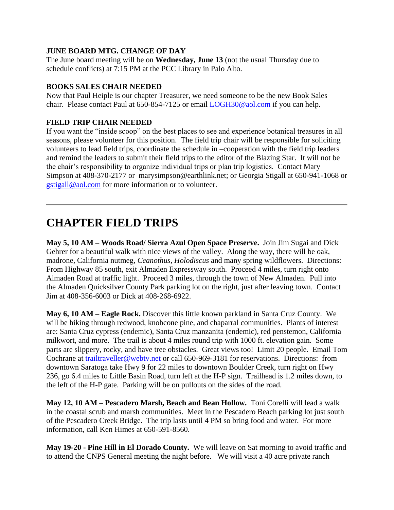#### **JUNE BOARD MTG. CHANGE OF DAY**

The June board meeting will be on **Wednesday, June 13** (not the usual Thursday due to schedule conflicts) at 7:15 PM at the PCC Library in Palo Alto.

#### **BOOKS SALES CHAIR NEEDED**

Now that Paul Heiple is our chapter Treasurer, we need someone to be the new Book Sales chair. Please contact Paul at 650-854-7125 or email [LOGH30@aol.com](mailto:LOGH30@aol.com) if you can help.

#### **FIELD TRIP CHAIR NEEDED**

If you want the "inside scoop" on the best places to see and experience botanical treasures in all seasons, please volunteer for this position. The field trip chair will be responsible for soliciting volunteers to lead field trips, coordinate the schedule in –cooperation with the field trip leaders and remind the leaders to submit their field trips to the editor of the Blazing Star. It will not be the chair's responsibility to organize individual trips or plan trip logistics. Contact Mary Simpson at 408-370-2177 or marysimpson@earthlink.net; or Georgia Stigall at 650-941-1068 or [gstigall@aol.com](mailto:gstigall@aol.com) for more information or to volunteer.

# **CHAPTER FIELD TRIPS**

**May 5, 10 AM – Woods Road/ Sierra Azul Open Space Preserve.** Join Jim Sugai and Dick Gehrer for a beautiful walk with nice views of the valley. Along the way, there will be oak, madrone, California nutmeg, *Ceanothus*, *Holodiscus* and many spring wildflowers. Directions: From Highway 85 south, exit Almaden Expressway south. Proceed 4 miles, turn right onto Almaden Road at traffic light. Proceed 3 miles, through the town of New Almaden. Pull into the Almaden Quicksilver County Park parking lot on the right, just after leaving town. Contact Jim at 408-356-6003 or Dick at 408-268-6922.

**May 6, 10 AM – Eagle Rock.** Discover this little known parkland in Santa Cruz County. We will be hiking through redwood, knobcone pine, and chaparral communities. Plants of interest are: Santa Cruz cypress (endemic), Santa Cruz manzanita (endemic), red penstemon, California milkwort, and more. The trail is about 4 miles round trip with 1000 ft. elevation gain. Some parts are slippery, rocky, and have tree obstacles. Great views too! Limit 20 people. Email Tom Cochrane at [trailtraveller@webtv.net](mailto:trailtraveller@webtv.net) or call 650-969-3181 for reservations. Directions: from downtown Saratoga take Hwy 9 for 22 miles to downtown Boulder Creek, turn right on Hwy 236, go 6.4 miles to Little Basin Road, turn left at the H-P sign. Trailhead is 1.2 miles down, to the left of the H-P gate. Parking will be on pullouts on the sides of the road.

**May 12, 10 AM – Pescadero Marsh, Beach and Bean Hollow.** Toni Corelli will lead a walk in the coastal scrub and marsh communities. Meet in the Pescadero Beach parking lot just south of the Pescadero Creek Bridge. The trip lasts until 4 PM so bring food and water. For more information, call Ken Himes at 650-591-8560.

**May 19-20 - Pine Hill in El Dorado County.** We will leave on Sat morning to avoid traffic and to attend the CNPS General meeting the night before. We will visit a 40 acre private ranch